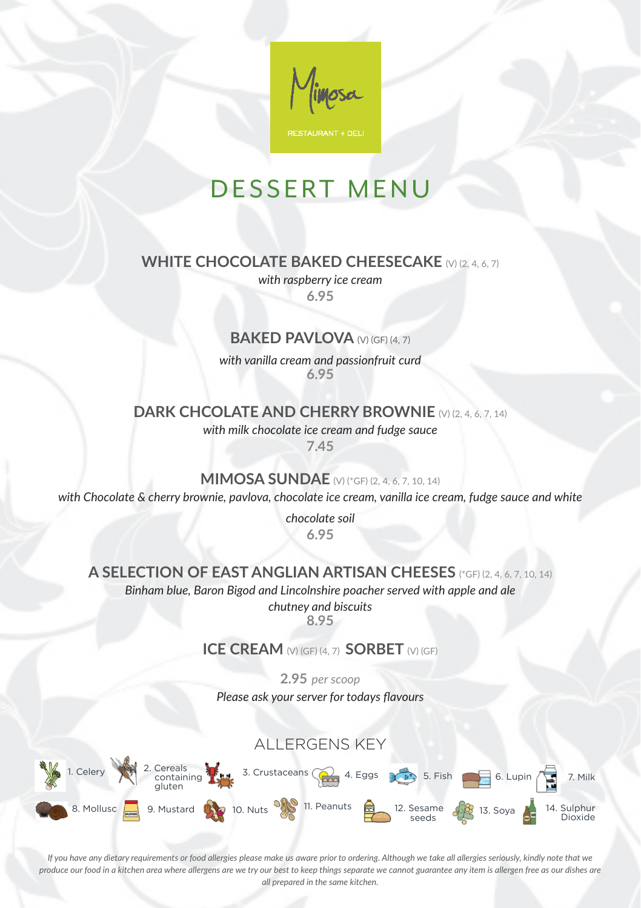

## DESSERT MENU

#### **WHITE CHOCOLATE BAKED CHEESECAKE** (V) (2, 4, 6, 7)

*with raspberry ice cream* **6.95** 

#### **BAKED PAVLOVA** (V) (GF) (4, 7)

*with vanilla cream and passionfruit curd* **6.95**

#### **DARK CHCOLATE AND CHERRY BROWNIE** (V) (2, 4, 6, 7, 14)

*with milk chocolate ice cream and fudge sauce*

**7.45**

#### **MIMOSA SUNDAE** (V) (\*GF) (2, 4, 6, 7, 10, 14)

*with Chocolate & cherry brownie, pavlova, chocolate ice cream, vanilla ice cream, fudge sauce and white* 

*chocolate soil* **6.95**

#### **A SELECTION OF EAST ANGLIAN ARTISAN CHEESES** (\*GF) (2, 4, 6, 7, 10, 14)

*Binham blue, Baron Bigod and Lincolnshire poacher served with apple and ale* 

*chutney and biscuits* **8.95** 

#### **ICE CREAM** (V) (GF) (4, 7) **SORBET** (V) (GF)

**2.95** *per scoop Please ask your server for todays flavours* 



*If you have any dietary requirements or food allergies please make us aware prior to ordering. Although we take all allergies seriously, kindly note that we produce our food in a kitchen area where allergens are we try our best to keep things separate we cannot guarantee any item is allergen free as our dishes are all prepared in the same kitchen.*